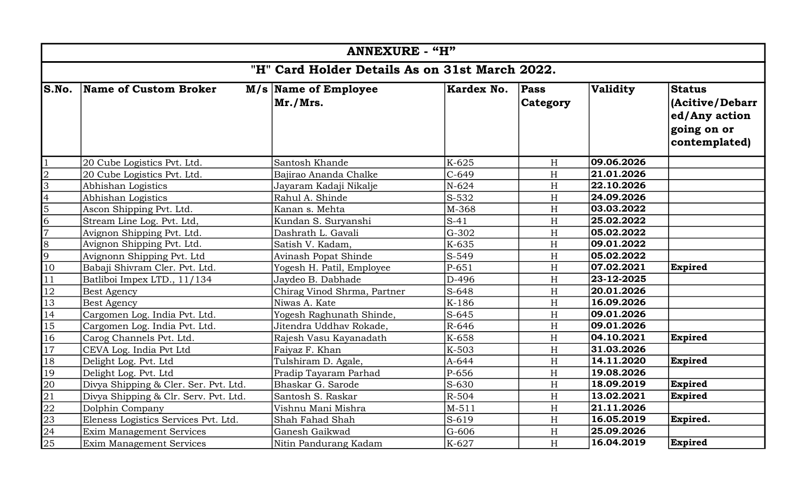| <b>ANNEXURE - "H"</b>                          |                                       |                                  |            |                           |                 |                                                                                   |
|------------------------------------------------|---------------------------------------|----------------------------------|------------|---------------------------|-----------------|-----------------------------------------------------------------------------------|
| "H" Card Holder Details As on 31st March 2022. |                                       |                                  |            |                           |                 |                                                                                   |
| S.No.                                          | Name of Custom Broker                 | M/s Name of Employee<br>Mr./Mrs. | Kardex No. | <b>Pass</b><br>Category   | <b>Validity</b> | <b>Status</b><br>(Acitive/Debarr<br>ed/Any action<br>going on or<br>contemplated) |
|                                                | 20 Cube Logistics Pvt. Ltd.           | Santosh Khande                   | K-625      | H                         | 09.06.2026      |                                                                                   |
| $\overline{2}$                                 | 20 Cube Logistics Pvt. Ltd.           | Bajirao Ananda Chalke            | $C-649$    | H                         | 21.01.2026      |                                                                                   |
| $\overline{3}$                                 | Abhishan Logistics                    | Jayaram Kadaji Nikalje           | $N-624$    | H                         | 22.10.2026      |                                                                                   |
| $\overline{4}$                                 | Abhishan Logistics                    | Rahul A. Shinde                  | S-532      | $\boldsymbol{\mathrm{H}}$ | 24.09.2026      |                                                                                   |
| 5                                              | Ascon Shipping Pvt. Ltd.              | Kanan s. Mehta                   | M-368      | H                         | 03.03.2022      |                                                                                   |
| 6                                              | Stream Line Log. Pvt. Ltd,            | Kundan S. Survanshi              | $S-41$     | H                         | 25.02.2022      |                                                                                   |
| $\overline{7}$                                 | Avignon Shipping Pvt. Ltd.            | Dashrath L. Gavali               | G-302      | H                         | 05.02.2022      |                                                                                   |
| $\overline{8}$                                 | Avignon Shipping Pvt. Ltd.            | Satish V. Kadam,                 | K-635      | H                         | 09.01.2022      |                                                                                   |
| 9                                              | Avignonn Shipping Pvt. Ltd            | <b>Avinash Popat Shinde</b>      | S-549      | H                         | 05.02.2022      |                                                                                   |
| 10                                             | Babaji Shivram Cler. Pvt. Ltd.        | Yogesh H. Patil, Employee        | $P-651$    | H                         | 07.02.2021      | Expired                                                                           |
| 11                                             | Batliboi Impex LTD., 11/134           | Jaydeo B. Dabhade                | D-496      | $\boldsymbol{\mathrm{H}}$ | 23-12-2025      |                                                                                   |
| <b>12</b>                                      | <b>Best Agency</b>                    | Chirag Vinod Shrma, Partner      | S-648      | H                         | 20.01.2026      |                                                                                   |
| 13                                             | <b>Best Agency</b>                    | Niwas A. Kate                    | K-186      | $\boldsymbol{\mathrm{H}}$ | 16.09.2026      |                                                                                   |
| 14                                             | Cargomen Log. India Pvt. Ltd.         | Yogesh Raghunath Shinde,         | $S-645$    | H                         | 09.01.2026      |                                                                                   |
| $\overline{15}$                                | Cargomen Log. India Pvt. Ltd.         | Jitendra Uddhav Rokade,          | R-646      | $\boldsymbol{\mathrm{H}}$ | 09.01.2026      |                                                                                   |
| 16                                             | Carog Channels Pvt. Ltd.              | Rajesh Vasu Kayanadath           | K-658      | H                         | 04.10.2021      | Expired                                                                           |
| $\overline{17}$                                | CEVA Log. India Pvt Ltd               | Faiyaz F. Khan                   | K-503      | H                         | 31.03.2026      |                                                                                   |
| 18                                             | Delight Log. Pvt. Ltd                 | Tulshiram D. Agale,              | A-644      | H                         | 14.11.2020      | Expired                                                                           |
| 19                                             | Delight Log. Pvt. Ltd                 | Pradip Tayaram Parhad            | P-656      | $\boldsymbol{\mathrm{H}}$ | 19.08.2026      |                                                                                   |
| 20                                             | Divya Shipping & Cler. Ser. Pvt. Ltd. | Bhaskar G. Sarode                | $S-630$    | H                         | 18.09.2019      | Expired                                                                           |
| 21                                             | Divya Shipping & Clr. Serv. Pvt. Ltd. | Santosh S. Raskar                | R-504      | $\boldsymbol{\mathrm{H}}$ | 13.02.2021      | Expired                                                                           |
| $\overline{22}$                                | Dolphin Company                       | Vishnu Mani Mishra               | $M - 511$  | $\boldsymbol{\mathrm{H}}$ | 21.11.2026      |                                                                                   |
| $\overline{23}$                                | Eleness Logistics Services Pvt. Ltd.  | Shah Fahad Shah                  | S-619      | H                         | 16.05.2019      | Expired.                                                                          |
| 24                                             | <b>Exim Management Services</b>       | Ganesh Gaikwad                   | G-606      | H                         | 25.09.2026      |                                                                                   |
| $\overline{25}$                                | Exim Management Services              | Nitin Pandurang Kadam            | K-627      | H                         | 16.04.2019      | Expired                                                                           |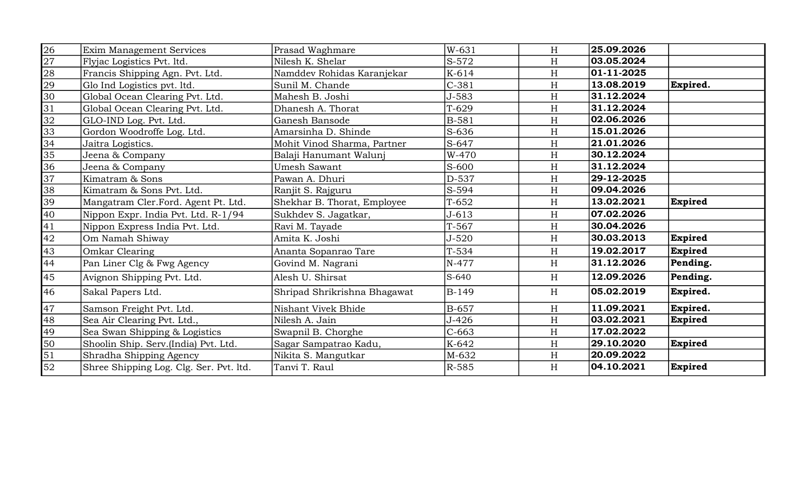| 26              | Exim Management Services                | Prasad Waghmare              | W-631        | H         | 25.09.2026 |                |
|-----------------|-----------------------------------------|------------------------------|--------------|-----------|------------|----------------|
| $\overline{27}$ | Flyjac Logistics Pvt. ltd.              | Nilesh K. Shelar             | S-572        | H         | 03.05.2024 |                |
| $\overline{28}$ | Francis Shipping Agn. Pvt. Ltd.         | Namddev Rohidas Karanjekar   | K-614        | H         | 01-11-2025 |                |
| $\overline{29}$ | Glo Ind Logistics pvt. ltd.             | Sunil M. Chande              | $C-381$      | H         | 13.08.2019 | Expired.       |
| $\overline{30}$ | Global Ocean Clearing Pvt. Ltd.         | Mahesh B. Joshi              | J-583        | H         | 31.12.2024 |                |
| 31              | Global Ocean Clearing Pvt. Ltd.         | Dhanesh A. Thorat            | $T-629$      | H         | 31.12.2024 |                |
| 32              | GLO-IND Log. Pvt. Ltd.                  | Ganesh Bansode               | B-581        | H         | 02.06.2026 |                |
| 33              | Gordon Woodroffe Log. Ltd.              | Amarsinha D. Shinde          | S-636        | H         | 15.01.2026 |                |
| 34              | Jaitra Logistics.                       | Mohit Vinod Sharma, Partner  | S-647        | H         | 21.01.2026 |                |
| 35              | Jeena & Company                         | Balaji Hanumant Walunj       | W-470        | H         | 30.12.2024 |                |
| 36              | Jeena & Company                         | <b>Umesh Sawant</b>          | S-600        | H         | 31.12.2024 |                |
| 37              | Kimatram & Sons                         | Pawan A. Dhuri               | D-537        | H         | 29-12-2025 |                |
| 38              | Kimatram & Sons Pvt. Ltd.               | Ranjit S. Rajguru            | S-594        | H         | 09.04.2026 |                |
| 39              | Mangatram Cler.Ford. Agent Pt. Ltd.     | Shekhar B. Thorat, Employee  | $T-652$      | H         | 13.02.2021 | <b>Expired</b> |
| 40              | Nippon Expr. India Pvt. Ltd. R-1/94     | Sukhdev S. Jagatkar,         | $J - 613$    | H         | 07.02.2026 |                |
| $\overline{41}$ | Nippon Express India Pvt. Ltd.          | Ravi M. Tayade               | $T-567$      | H         | 30.04.2026 |                |
| 42              | Om Namah Shiway                         | Amita K. Joshi               | $J - 520$    | H         | 30.03.2013 | <b>Expired</b> |
| 43              | Omkar Clearing                          | Ananta Sopanrao Tare         | $T-534$      | H         | 19.02.2017 | <b>Expired</b> |
| 44              | Pan Liner Clg & Fwg Agency              | Govind M. Nagrani            | N-477        | H         | 31.12.2026 | Pending.       |
| 45              | Avignon Shipping Pvt. Ltd.              | Alesh U. Shirsat             | S-640        | H         | 12.09.2026 | Pending.       |
| 46              | Sakal Papers Ltd.                       | Shripad Shrikrishna Bhagawat | B-149        | H         | 05.02.2019 | Expired.       |
| 47              | Samson Freight Pvt. Ltd.                | Nishant Vivek Bhide          | <b>B-657</b> | H         | 11.09.2021 | Expired.       |
| 48              | Sea Air Clearing Pvt. Ltd.,             | Nilesh A. Jain               | $J-426$      | $H_{\rm}$ | 03.02.2021 | <b>Expired</b> |
| 49              | Sea Swan Shipping & Logistics           | Swapnil B. Chorghe           | $C-663$      | H         | 17.02.2022 |                |
| 50              | Shoolin Ship. Serv.(India) Pvt. Ltd.    | Sagar Sampatrao Kadu,        | K-642        | H         | 29.10.2020 | <b>Expired</b> |
| $\overline{51}$ | Shradha Shipping Agency                 | Nikita S. Mangutkar          | M-632        | H         | 20.09.2022 |                |
| 52              | Shree Shipping Log. Clg. Ser. Pvt. ltd. | Tanvi T. Raul                | R-585        | H         | 04.10.2021 | <b>Expired</b> |